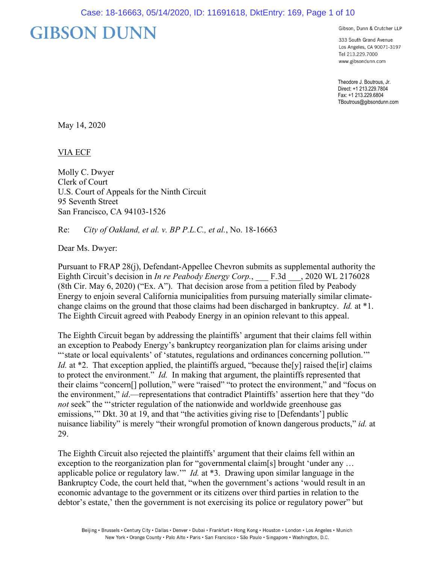# **GIBSON DUNN**

Gibson, Dunn & Crutcher LLP

333 South Grand Avenue Los Angeles, CA 90071-3197 Tel 213.229.7000 www.gibsondunn.com

Theodore J. Boutrous, Jr. Direct: +1 213.229.7804 Fax: +1 213.229.6804 TBoutrous@gibsondunn.com

May 14, 2020

VIA ECF

Molly C. Dwyer Clerk of Court U.S. Court of Appeals for the Ninth Circuit 95 Seventh Street San Francisco, CA 94103-1526

Re: *City of Oakland, et al. v. BP P.L.C., et al.*, No. 18-16663

Dear Ms. Dwyer:

Pursuant to FRAP 28(j), Defendant-Appellee Chevron submits as supplemental authority the Eighth Circuit's decision in *In re Peabody Energy Corp.*, F.3d , 2020 WL 2176028 (8th Cir. May 6, 2020) ("Ex. A"). That decision arose from a petition filed by Peabody Energy to enjoin several California municipalities from pursuing materially similar climatechange claims on the ground that those claims had been discharged in bankruptcy. *Id.* at \*1. The Eighth Circuit agreed with Peabody Energy in an opinion relevant to this appeal.

The Eighth Circuit began by addressing the plaintiffs' argument that their claims fell within an exception to Peabody Energy's bankruptcy reorganization plan for claims arising under "'state or local equivalents' of 'statutes, regulations and ordinances concerning pollution."" *Id.* at  $*2$ . That exception applied, the plaintiffs argued, "because the [y] raised the [ir] claims to protect the environment." *Id.* In making that argument, the plaintiffs represented that their claims "concern[] pollution," were "raised" "to protect the environment," and "focus on the environment," *id*.—representations that contradict Plaintiffs' assertion here that they "do *not* seek" the "'stricter regulation of the nationwide and worldwide greenhouse gas emissions,'" Dkt. 30 at 19, and that "the activities giving rise to [Defendants'] public nuisance liability" is merely "their wrongful promotion of known dangerous products," *id.* at 29.

The Eighth Circuit also rejected the plaintiffs' argument that their claims fell within an exception to the reorganization plan for "governmental claim[s] brought 'under any ... applicable police or regulatory law.'" *Id.* at \*3. Drawing upon similar language in the Bankruptcy Code, the court held that, "when the government's actions 'would result in an economic advantage to the government or its citizens over third parties in relation to the debtor's estate,' then the government is not exercising its police or regulatory power" but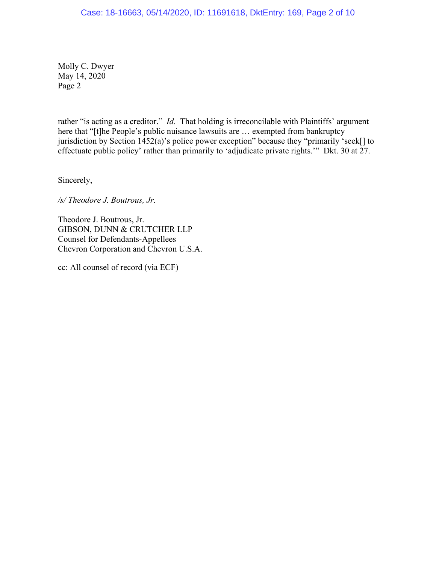# Case: 18-16663, 05/14/2020, ID: 11691618, DktEntry: 169, Page 2 of 10

Molly C. Dwyer May 14, 2020 Page 2

rather "is acting as a creditor." *Id.* That holding is irreconcilable with Plaintiffs' argument here that "[t]he People's public nuisance lawsuits are ... exempted from bankruptcy jurisdiction by Section 1452(a)'s police power exception" because they "primarily 'seek[] to effectuate public policy' rather than primarily to 'adjudicate private rights.'" Dkt. 30 at 27.

Sincerely,

*/s/ Theodore J. Boutrous, Jr.* 

Theodore J. Boutrous, Jr. GIBSON, DUNN & CRUTCHER LLP Counsel for Defendants-Appellees Chevron Corporation and Chevron U.S.A.

cc: All counsel of record (via ECF)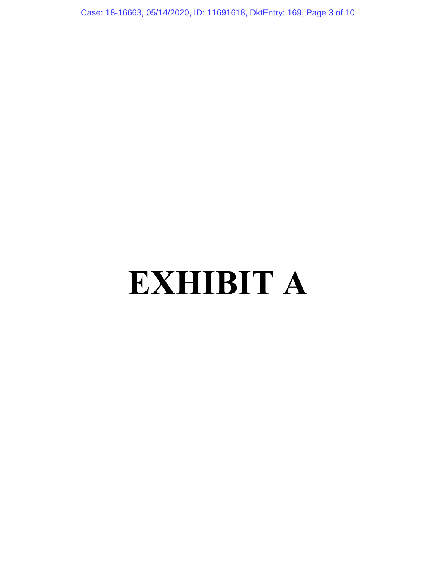Case: 18-16663, 05/14/2020, ID: 11691618, DktEntry: 169, Page 3 of 10

# **EXHIBIT A**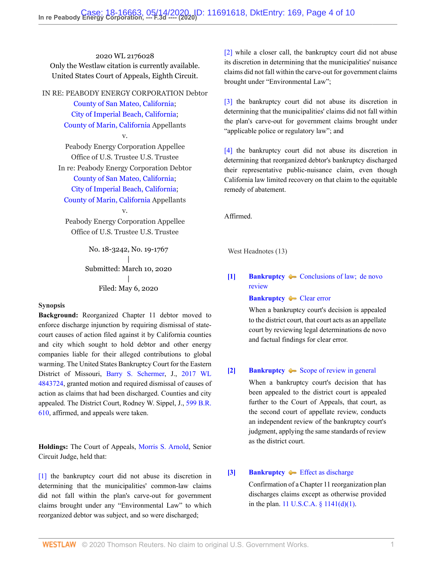2020 WL 2176028 Only the Westlaw citation is currently available. United States Court of Appeals, Eighth Circuit.

IN RE: PEABODY ENERGY CORPORATION Debtor [County of San Mateo, California](http://www.westlaw.com/Search/Results.html?query=advanced%3a+OAID(5001113452)&saveJuris=False&contentType=BUSINESS-INVESTIGATOR&startIndex=1&contextData=(sc.Default)&categoryPageUrl=Home%2fCompanyInvestigator&originationContext=document&vr=3.0&rs=cblt1.0&transitionType=DocumentItem); [City of Imperial Beach, California;](http://www.westlaw.com/Search/Results.html?query=advanced%3a+OAID(4296813460)&saveJuris=False&contentType=BUSINESS-INVESTIGATOR&startIndex=1&contextData=(sc.Default)&categoryPageUrl=Home%2fCompanyInvestigator&originationContext=document&vr=3.0&rs=cblt1.0&transitionType=DocumentItem) [County of Marin, California](http://www.westlaw.com/Search/Results.html?query=advanced%3a+OAID(5026183410)&saveJuris=False&contentType=BUSINESS-INVESTIGATOR&startIndex=1&contextData=(sc.Default)&categoryPageUrl=Home%2fCompanyInvestigator&originationContext=document&vr=3.0&rs=cblt1.0&transitionType=DocumentItem) Appellants v.

Peabody Energy Corporation Appellee Office of U.S. Trustee U.S. Trustee In re: Peabody Energy Corporation Debtor [County of San Mateo, California](http://www.westlaw.com/Search/Results.html?query=advanced%3a+OAID(5001113452)&saveJuris=False&contentType=BUSINESS-INVESTIGATOR&startIndex=1&contextData=(sc.Default)&categoryPageUrl=Home%2fCompanyInvestigator&originationContext=document&vr=3.0&rs=cblt1.0&transitionType=DocumentItem);

[City of Imperial Beach, California;](http://www.westlaw.com/Search/Results.html?query=advanced%3a+OAID(4296813460)&saveJuris=False&contentType=BUSINESS-INVESTIGATOR&startIndex=1&contextData=(sc.Default)&categoryPageUrl=Home%2fCompanyInvestigator&originationContext=document&vr=3.0&rs=cblt1.0&transitionType=DocumentItem)

[County of Marin, California](http://www.westlaw.com/Search/Results.html?query=advanced%3a+OAID(5026183410)&saveJuris=False&contentType=BUSINESS-INVESTIGATOR&startIndex=1&contextData=(sc.Default)&categoryPageUrl=Home%2fCompanyInvestigator&originationContext=document&vr=3.0&rs=cblt1.0&transitionType=DocumentItem) Appellants v.

Peabody Energy Corporation Appellee Office of U.S. Trustee U.S. Trustee

> No. 18-3242, No. 19-1767 | Submitted: March 10, 2020 | Filed: May 6, 2020

# **Synopsis**

**Background:** Reorganized Chapter 11 debtor moved to enforce discharge injunction by requiring dismissal of statecourt causes of action filed against it by California counties and city which sought to hold debtor and other energy companies liable for their alleged contributions to global warming. The United States Bankruptcy Court for the Eastern District of Missouri, [Barry S. Schermer](http://www.westlaw.com/Link/Document/FullText?findType=h&pubNum=176284&cite=0126963202&originatingDoc=I3728c6108fd011eab2c3c7d85ec85a54&refType=RQ&originationContext=document&vr=3.0&rs=cblt1.0&transitionType=DocumentItem&contextData=(sc.Keycite)), J., [2017 WL](http://www.westlaw.com/Link/Document/FullText?findType=Y&serNum=2042970719&pubNum=0000999&originatingDoc=I3728c6108fd011eab2c3c7d85ec85a54&refType=RP&originationContext=document&vr=3.0&rs=cblt1.0&transitionType=DocumentItem&contextData=(sc.Keycite)) [4843724](http://www.westlaw.com/Link/Document/FullText?findType=Y&serNum=2042970719&pubNum=0000999&originatingDoc=I3728c6108fd011eab2c3c7d85ec85a54&refType=RP&originationContext=document&vr=3.0&rs=cblt1.0&transitionType=DocumentItem&contextData=(sc.Keycite)), granted motion and required dismissal of causes of action as claims that had been discharged. Counties and city appealed. The District Court, Rodney W. Sippel, J., [599 B.R.](http://www.westlaw.com/Link/Document/FullText?findType=Y&serNum=2047896763&pubNum=0000164&originatingDoc=I3728c6108fd011eab2c3c7d85ec85a54&refType=RP&originationContext=document&vr=3.0&rs=cblt1.0&transitionType=DocumentItem&contextData=(sc.Keycite)) [610](http://www.westlaw.com/Link/Document/FullText?findType=Y&serNum=2047896763&pubNum=0000164&originatingDoc=I3728c6108fd011eab2c3c7d85ec85a54&refType=RP&originationContext=document&vr=3.0&rs=cblt1.0&transitionType=DocumentItem&contextData=(sc.Keycite)), affirmed, and appeals were taken.

**Holdings:** The Court of Appeals, [Morris S. Arnold,](http://www.westlaw.com/Link/Document/FullText?findType=h&pubNum=176284&cite=0100200101&originatingDoc=I3728c6108fd011eab2c3c7d85ec85a54&refType=RQ&originationContext=document&vr=3.0&rs=cblt1.0&transitionType=DocumentItem&contextData=(sc.Keycite)) Senior Circuit Judge, held that:

[\[1\]](#page-4-0) the bankruptcy court did not abuse its discretion in determining that the municipalities' common-law claims did not fall within the plan's carve-out for government claims brought under any "Environmental Law" to which reorganized debtor was subject, and so were discharged;

[\[2\]](#page-4-1) while a closer call, the bankruptcy court did not abuse its discretion in determining that the municipalities' nuisance claims did not fall within the carve-out for government claims brought under "Environmental Law";

[\[3\]](#page-4-2) the bankruptcy court did not abuse its discretion in determining that the municipalities' claims did not fall within the plan's carve-out for government claims brought under "applicable police or regulatory law"; and

[\[4\]](#page-4-3) the bankruptcy court did not abuse its discretion in determining that reorganized debtor's bankruptcy discharged their representative public-nuisance claim, even though California law limited recovery on that claim to the equitable remedy of abatement.

Affirmed.

West Headnotes (13)

# <span id="page-3-0"></span>**[\[1\]](#page-6-0) [Bankruptcy](http://www.westlaw.com/Browse/Home/KeyNumber/51/View.html?docGuid=I3728c6108fd011eab2c3c7d85ec85a54&originationContext=document&vr=3.0&rs=cblt1.0&transitionType=DocumentItem&contextData=(sc.Keycite))**  $\blacktriangleright$  Conclusions of law; de novo [review](http://www.westlaw.com/Browse/Home/KeyNumber/51k3782/View.html?docGuid=I3728c6108fd011eab2c3c7d85ec85a54&originationContext=document&vr=3.0&rs=cblt1.0&transitionType=DocumentItem&contextData=(sc.Keycite))

**[Bankruptcy](http://www.westlaw.com/Browse/Home/KeyNumber/51/View.html?docGuid=I3728c6108fd011eab2c3c7d85ec85a54&originationContext=document&vr=3.0&rs=cblt1.0&transitionType=DocumentItem&contextData=(sc.Keycite))**  $\rightarrow$  [Clear error](http://www.westlaw.com/Browse/Home/KeyNumber/51k3786/View.html?docGuid=I3728c6108fd011eab2c3c7d85ec85a54&originationContext=document&vr=3.0&rs=cblt1.0&transitionType=DocumentItem&contextData=(sc.Keycite))

When a bankruptcy court's decision is appealed to the district court, that court acts as an appellate court by reviewing legal determinations de novo and factual findings for clear error.

## <span id="page-3-1"></span>**[\[2\]](#page-6-1) [Bankruptcy](http://www.westlaw.com/Browse/Home/KeyNumber/51/View.html?docGuid=I3728c6108fd011eab2c3c7d85ec85a54&originationContext=document&vr=3.0&rs=cblt1.0&transitionType=DocumentItem&contextData=(sc.Keycite))**  $\blacktriangleright$  [Scope of review in general](http://www.westlaw.com/Browse/Home/KeyNumber/51k3779/View.html?docGuid=I3728c6108fd011eab2c3c7d85ec85a54&originationContext=document&vr=3.0&rs=cblt1.0&transitionType=DocumentItem&contextData=(sc.Keycite))

When a bankruptcy court's decision that has been appealed to the district court is appealed further to the Court of Appeals, that court, as the second court of appellate review, conducts an independent review of the bankruptcy court's judgment, applying the same standards of review as the district court.

## <span id="page-3-2"></span>**[\[3\]](#page-6-2) [Bankruptcy](http://www.westlaw.com/Browse/Home/KeyNumber/51/View.html?docGuid=I3728c6108fd011eab2c3c7d85ec85a54&originationContext=document&vr=3.0&rs=cblt1.0&transitionType=DocumentItem&contextData=(sc.Keycite)) [Effect as discharge](http://www.westlaw.com/Browse/Home/KeyNumber/51k3568(3)/View.html?docGuid=I3728c6108fd011eab2c3c7d85ec85a54&originationContext=document&vr=3.0&rs=cblt1.0&transitionType=DocumentItem&contextData=(sc.Keycite))**

Confirmation of a Chapter 11 reorganization plan discharges claims except as otherwise provided in the plan. [11 U.S.C.A. § 1141\(d\)\(1\)](http://www.westlaw.com/Link/Document/FullText?findType=L&pubNum=1000546&cite=11USCAS1141&originatingDoc=I3728c6108fd011eab2c3c7d85ec85a54&refType=SP&originationContext=document&vr=3.0&rs=cblt1.0&transitionType=DocumentItem&contextData=(sc.Keycite)#co_pp_e07e0000a9f57).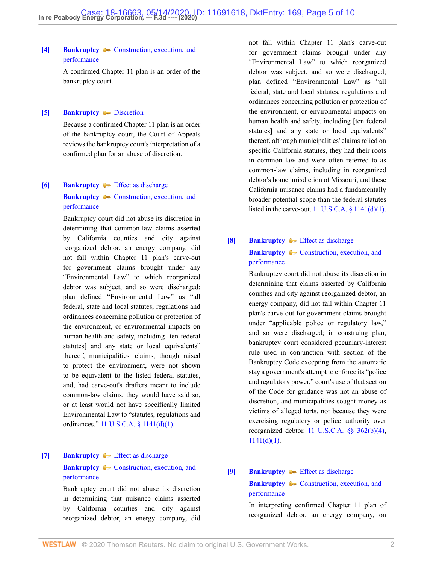# <span id="page-4-4"></span>**[\[4\]](#page-6-3) [Bankruptcy](http://www.westlaw.com/Browse/Home/KeyNumber/51/View.html?docGuid=I3728c6108fd011eab2c3c7d85ec85a54&originationContext=document&vr=3.0&rs=cblt1.0&transitionType=DocumentItem&contextData=(sc.Keycite))**  $\blacklozenge$  **[Construction, execution, and](http://www.westlaw.com/Browse/Home/KeyNumber/51k3570/View.html?docGuid=I3728c6108fd011eab2c3c7d85ec85a54&originationContext=document&vr=3.0&rs=cblt1.0&transitionType=DocumentItem&contextData=(sc.Keycite))** [performance](http://www.westlaw.com/Browse/Home/KeyNumber/51k3570/View.html?docGuid=I3728c6108fd011eab2c3c7d85ec85a54&originationContext=document&vr=3.0&rs=cblt1.0&transitionType=DocumentItem&contextData=(sc.Keycite))

A confirmed Chapter 11 plan is an order of the bankruptcy court.

<span id="page-4-5"></span>**[\[5\]](#page-6-4) [Bankruptcy](http://www.westlaw.com/Browse/Home/KeyNumber/51/View.html?docGuid=I3728c6108fd011eab2c3c7d85ec85a54&originationContext=document&vr=3.0&rs=cblt1.0&transitionType=DocumentItem&contextData=(sc.Keycite)) [Discretion](http://www.westlaw.com/Browse/Home/KeyNumber/51k3784/View.html?docGuid=I3728c6108fd011eab2c3c7d85ec85a54&originationContext=document&vr=3.0&rs=cblt1.0&transitionType=DocumentItem&contextData=(sc.Keycite))** 

[performance](http://www.westlaw.com/Browse/Home/KeyNumber/51k3570/View.html?docGuid=I3728c6108fd011eab2c3c7d85ec85a54&originationContext=document&vr=3.0&rs=cblt1.0&transitionType=DocumentItem&contextData=(sc.Keycite))

Because a confirmed Chapter 11 plan is an order of the bankruptcy court, the Court of Appeals reviews the bankruptcy court's interpretation of a confirmed plan for an abuse of discretion.

# <span id="page-4-0"></span>**[\[6\]](#page-6-5) [Bankruptcy](http://www.westlaw.com/Browse/Home/KeyNumber/51/View.html?docGuid=I3728c6108fd011eab2c3c7d85ec85a54&originationContext=document&vr=3.0&rs=cblt1.0&transitionType=DocumentItem&contextData=(sc.Keycite)) i** [Effect as discharge](http://www.westlaw.com/Browse/Home/KeyNumber/51k3568(3)/View.html?docGuid=I3728c6108fd011eab2c3c7d85ec85a54&originationContext=document&vr=3.0&rs=cblt1.0&transitionType=DocumentItem&contextData=(sc.Keycite)) **[Bankruptcy](http://www.westlaw.com/Browse/Home/KeyNumber/51/View.html?docGuid=I3728c6108fd011eab2c3c7d85ec85a54&originationContext=document&vr=3.0&rs=cblt1.0&transitionType=DocumentItem&contextData=(sc.Keycite))**  $\rightarrow$  [Construction, execution, and](http://www.westlaw.com/Browse/Home/KeyNumber/51k3570/View.html?docGuid=I3728c6108fd011eab2c3c7d85ec85a54&originationContext=document&vr=3.0&rs=cblt1.0&transitionType=DocumentItem&contextData=(sc.Keycite))

Bankruptcy court did not abuse its discretion in determining that common-law claims asserted by California counties and city against reorganized debtor, an energy company, did not fall within Chapter 11 plan's carve-out for government claims brought under any "Environmental Law" to which reorganized debtor was subject, and so were discharged; plan defined "Environmental Law" as "all federal, state and local statutes, regulations and ordinances concerning pollution or protection of the environment, or environmental impacts on human health and safety, including [ten federal statutes] and any state or local equivalents" thereof, municipalities' claims, though raised to protect the environment, were not shown to be equivalent to the listed federal statutes, and, had carve-out's drafters meant to include common-law claims, they would have said so, or at least would not have specifically limited Environmental Law to "statutes, regulations and ordinances." [11 U.S.C.A. § 1141\(d\)\(1\).](http://www.westlaw.com/Link/Document/FullText?findType=L&pubNum=1000546&cite=11USCAS1141&originatingDoc=I3728c6108fd011eab2c3c7d85ec85a54&refType=SP&originationContext=document&vr=3.0&rs=cblt1.0&transitionType=DocumentItem&contextData=(sc.Keycite)#co_pp_e07e0000a9f57)

# <span id="page-4-1"></span>**[\[7\]](#page-6-6) [Bankruptcy](http://www.westlaw.com/Browse/Home/KeyNumber/51/View.html?docGuid=I3728c6108fd011eab2c3c7d85ec85a54&originationContext=document&vr=3.0&rs=cblt1.0&transitionType=DocumentItem&contextData=(sc.Keycite)) [Effect as discharge](http://www.westlaw.com/Browse/Home/KeyNumber/51k3568(3)/View.html?docGuid=I3728c6108fd011eab2c3c7d85ec85a54&originationContext=document&vr=3.0&rs=cblt1.0&transitionType=DocumentItem&contextData=(sc.Keycite)) [Bankruptcy](http://www.westlaw.com/Browse/Home/KeyNumber/51/View.html?docGuid=I3728c6108fd011eab2c3c7d85ec85a54&originationContext=document&vr=3.0&rs=cblt1.0&transitionType=DocumentItem&contextData=(sc.Keycite))**  $\bullet$  [Construction, execution, and](http://www.westlaw.com/Browse/Home/KeyNumber/51k3570/View.html?docGuid=I3728c6108fd011eab2c3c7d85ec85a54&originationContext=document&vr=3.0&rs=cblt1.0&transitionType=DocumentItem&contextData=(sc.Keycite)) [performance](http://www.westlaw.com/Browse/Home/KeyNumber/51k3570/View.html?docGuid=I3728c6108fd011eab2c3c7d85ec85a54&originationContext=document&vr=3.0&rs=cblt1.0&transitionType=DocumentItem&contextData=(sc.Keycite))

Bankruptcy court did not abuse its discretion in determining that nuisance claims asserted by California counties and city against reorganized debtor, an energy company, did not fall within Chapter 11 plan's carve-out for government claims brought under any "Environmental Law" to which reorganized debtor was subject, and so were discharged; plan defined "Environmental Law" as "all federal, state and local statutes, regulations and ordinances concerning pollution or protection of the environment, or environmental impacts on human health and safety, including [ten federal statutes] and any state or local equivalents" thereof, although municipalities' claims relied on specific California statutes, they had their roots in common law and were often referred to as common-law claims, including in reorganized debtor's home jurisdiction of Missouri, and these California nuisance claims had a fundamentally broader potential scope than the federal statutes listed in the carve-out. 11 U.S.C.A.  $\S$  1141(d)(1).

# <span id="page-4-2"></span>**[\[8\]](#page-7-0) [Bankruptcy](http://www.westlaw.com/Browse/Home/KeyNumber/51/View.html?docGuid=I3728c6108fd011eab2c3c7d85ec85a54&originationContext=document&vr=3.0&rs=cblt1.0&transitionType=DocumentItem&contextData=(sc.Keycite)) [Effect as discharge](http://www.westlaw.com/Browse/Home/KeyNumber/51k3568(3)/View.html?docGuid=I3728c6108fd011eab2c3c7d85ec85a54&originationContext=document&vr=3.0&rs=cblt1.0&transitionType=DocumentItem&contextData=(sc.Keycite)) [Bankruptcy](http://www.westlaw.com/Browse/Home/KeyNumber/51/View.html?docGuid=I3728c6108fd011eab2c3c7d85ec85a54&originationContext=document&vr=3.0&rs=cblt1.0&transitionType=DocumentItem&contextData=(sc.Keycite))**  $\bullet$  [Construction, execution, and](http://www.westlaw.com/Browse/Home/KeyNumber/51k3570/View.html?docGuid=I3728c6108fd011eab2c3c7d85ec85a54&originationContext=document&vr=3.0&rs=cblt1.0&transitionType=DocumentItem&contextData=(sc.Keycite)) [performance](http://www.westlaw.com/Browse/Home/KeyNumber/51k3570/View.html?docGuid=I3728c6108fd011eab2c3c7d85ec85a54&originationContext=document&vr=3.0&rs=cblt1.0&transitionType=DocumentItem&contextData=(sc.Keycite))

Bankruptcy court did not abuse its discretion in determining that claims asserted by California counties and city against reorganized debtor, an energy company, did not fall within Chapter 11 plan's carve-out for government claims brought under "applicable police or regulatory law," and so were discharged; in construing plan, bankruptcy court considered pecuniary-interest rule used in conjunction with section of the Bankruptcy Code excepting from the automatic stay a government's attempt to enforce its "police and regulatory power," court's use of that section of the Code for guidance was not an abuse of discretion, and municipalities sought money as victims of alleged torts, not because they were exercising regulatory or police authority over reorganized debtor. [11 U.S.C.A. §§ 362\(b\)\(4\),](http://www.westlaw.com/Link/Document/FullText?findType=L&pubNum=1000546&cite=11USCAS362&originatingDoc=I3728c6108fd011eab2c3c7d85ec85a54&refType=SP&originationContext=document&vr=3.0&rs=cblt1.0&transitionType=DocumentItem&contextData=(sc.Keycite)#co_pp_6ad60000aeea7)  $1141(d)(1)$ .

# <span id="page-4-3"></span>**[\[9\]](#page-8-0) [Bankruptcy](http://www.westlaw.com/Browse/Home/KeyNumber/51/View.html?docGuid=I3728c6108fd011eab2c3c7d85ec85a54&originationContext=document&vr=3.0&rs=cblt1.0&transitionType=DocumentItem&contextData=(sc.Keycite)) [Effect as discharge](http://www.westlaw.com/Browse/Home/KeyNumber/51k3568(3)/View.html?docGuid=I3728c6108fd011eab2c3c7d85ec85a54&originationContext=document&vr=3.0&rs=cblt1.0&transitionType=DocumentItem&contextData=(sc.Keycite)) [Bankruptcy](http://www.westlaw.com/Browse/Home/KeyNumber/51/View.html?docGuid=I3728c6108fd011eab2c3c7d85ec85a54&originationContext=document&vr=3.0&rs=cblt1.0&transitionType=DocumentItem&contextData=(sc.Keycite))**  $\bullet$  [Construction, execution, and](http://www.westlaw.com/Browse/Home/KeyNumber/51k3570/View.html?docGuid=I3728c6108fd011eab2c3c7d85ec85a54&originationContext=document&vr=3.0&rs=cblt1.0&transitionType=DocumentItem&contextData=(sc.Keycite)) [performance](http://www.westlaw.com/Browse/Home/KeyNumber/51k3570/View.html?docGuid=I3728c6108fd011eab2c3c7d85ec85a54&originationContext=document&vr=3.0&rs=cblt1.0&transitionType=DocumentItem&contextData=(sc.Keycite))

In interpreting confirmed Chapter 11 plan of reorganized debtor, an energy company, on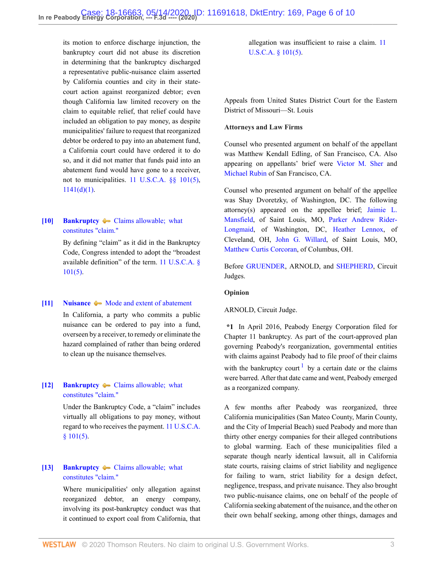its motion to enforce discharge injunction, the bankruptcy court did not abuse its discretion in determining that the bankruptcy discharged a representative public-nuisance claim asserted by California counties and city in their statecourt action against reorganized debtor; even though California law limited recovery on the claim to equitable relief, that relief could have included an obligation to pay money, as despite municipalities' failure to request that reorganized debtor be ordered to pay into an abatement fund, a California court could have ordered it to do so, and it did not matter that funds paid into an abatement fund would have gone to a receiver, not to municipalities. [11 U.S.C.A. §§ 101\(5\)](http://www.westlaw.com/Link/Document/FullText?findType=L&pubNum=1000546&cite=11USCAS101&originatingDoc=I3728c6108fd011eab2c3c7d85ec85a54&refType=SP&originationContext=document&vr=3.0&rs=cblt1.0&transitionType=DocumentItem&contextData=(sc.Keycite)#co_pp_362c000048fd7),  $1141(d)(1)$ .

# <span id="page-5-0"></span>**[\[10\]](#page-8-1) [Bankruptcy](http://www.westlaw.com/Browse/Home/KeyNumber/51/View.html?docGuid=I3728c6108fd011eab2c3c7d85ec85a54&originationContext=document&vr=3.0&rs=cblt1.0&transitionType=DocumentItem&contextData=(sc.Keycite))**  $\blacktriangleright$  **Claims allowable**; what [constitutes "claim."](http://www.westlaw.com/Browse/Home/KeyNumber/51k2825/View.html?docGuid=I3728c6108fd011eab2c3c7d85ec85a54&originationContext=document&vr=3.0&rs=cblt1.0&transitionType=DocumentItem&contextData=(sc.Keycite))

By defining "claim" as it did in the Bankruptcy Code, Congress intended to adopt the "broadest available definition" of the term. [11 U.S.C.A. §](http://www.westlaw.com/Link/Document/FullText?findType=L&pubNum=1000546&cite=11USCAS101&originatingDoc=I3728c6108fd011eab2c3c7d85ec85a54&refType=SP&originationContext=document&vr=3.0&rs=cblt1.0&transitionType=DocumentItem&contextData=(sc.Keycite)#co_pp_362c000048fd7) [101\(5\)](http://www.westlaw.com/Link/Document/FullText?findType=L&pubNum=1000546&cite=11USCAS101&originatingDoc=I3728c6108fd011eab2c3c7d85ec85a54&refType=SP&originationContext=document&vr=3.0&rs=cblt1.0&transitionType=DocumentItem&contextData=(sc.Keycite)#co_pp_362c000048fd7).

#### <span id="page-5-1"></span>**[\[11\]](#page-8-2) [Nuisance](http://www.westlaw.com/Browse/Home/KeyNumber/279/View.html?docGuid=I3728c6108fd011eab2c3c7d85ec85a54&originationContext=document&vr=3.0&rs=cblt1.0&transitionType=DocumentItem&contextData=(sc.Keycite))**  $\blacklozenge$  **[Mode and extent of abatement](http://www.westlaw.com/Browse/Home/KeyNumber/279k85/View.html?docGuid=I3728c6108fd011eab2c3c7d85ec85a54&originationContext=document&vr=3.0&rs=cblt1.0&transitionType=DocumentItem&contextData=(sc.Keycite))**

In California, a party who commits a public nuisance can be ordered to pay into a fund, overseen by a receiver, to remedy or eliminate the hazard complained of rather than being ordered to clean up the nuisance themselves.

# <span id="page-5-2"></span>**[\[12\]](#page-8-3) [Bankruptcy](http://www.westlaw.com/Browse/Home/KeyNumber/51/View.html?docGuid=I3728c6108fd011eab2c3c7d85ec85a54&originationContext=document&vr=3.0&rs=cblt1.0&transitionType=DocumentItem&contextData=(sc.Keycite))**  $\blacklozenge$  **Claims allowable**; what [constitutes "claim."](http://www.westlaw.com/Browse/Home/KeyNumber/51k2825/View.html?docGuid=I3728c6108fd011eab2c3c7d85ec85a54&originationContext=document&vr=3.0&rs=cblt1.0&transitionType=DocumentItem&contextData=(sc.Keycite))

Under the Bankruptcy Code, a "claim" includes virtually all obligations to pay money, without regard to who receives the payment. [11 U.S.C.A.](http://www.westlaw.com/Link/Document/FullText?findType=L&pubNum=1000546&cite=11USCAS101&originatingDoc=I3728c6108fd011eab2c3c7d85ec85a54&refType=SP&originationContext=document&vr=3.0&rs=cblt1.0&transitionType=DocumentItem&contextData=(sc.Keycite)#co_pp_362c000048fd7) [§ 101\(5\).](http://www.westlaw.com/Link/Document/FullText?findType=L&pubNum=1000546&cite=11USCAS101&originatingDoc=I3728c6108fd011eab2c3c7d85ec85a54&refType=SP&originationContext=document&vr=3.0&rs=cblt1.0&transitionType=DocumentItem&contextData=(sc.Keycite)#co_pp_362c000048fd7)

# <span id="page-5-3"></span>**[\[13\]](#page-8-4) [Bankruptcy](http://www.westlaw.com/Browse/Home/KeyNumber/51/View.html?docGuid=I3728c6108fd011eab2c3c7d85ec85a54&originationContext=document&vr=3.0&rs=cblt1.0&transitionType=DocumentItem&contextData=(sc.Keycite)) • Claims allowable; what** [constitutes "claim."](http://www.westlaw.com/Browse/Home/KeyNumber/51k2825/View.html?docGuid=I3728c6108fd011eab2c3c7d85ec85a54&originationContext=document&vr=3.0&rs=cblt1.0&transitionType=DocumentItem&contextData=(sc.Keycite))

Where municipalities' only allegation against reorganized debtor, an energy company, involving its post-bankruptcy conduct was that it continued to export coal from California, that allegation was insufficient to raise a claim. [11](http://www.westlaw.com/Link/Document/FullText?findType=L&pubNum=1000546&cite=11USCAS101&originatingDoc=I3728c6108fd011eab2c3c7d85ec85a54&refType=SP&originationContext=document&vr=3.0&rs=cblt1.0&transitionType=DocumentItem&contextData=(sc.Keycite)#co_pp_362c000048fd7) [U.S.C.A. § 101\(5\).](http://www.westlaw.com/Link/Document/FullText?findType=L&pubNum=1000546&cite=11USCAS101&originatingDoc=I3728c6108fd011eab2c3c7d85ec85a54&refType=SP&originationContext=document&vr=3.0&rs=cblt1.0&transitionType=DocumentItem&contextData=(sc.Keycite)#co_pp_362c000048fd7)

Appeals from United States District Court for the Eastern District of Missouri—St. Louis

#### **Attorneys and Law Firms**

Counsel who presented argument on behalf of the appellant was Matthew Kendall Edling, of San Francisco, CA. Also appearing on appellants' brief were [Victor M. Sher](http://www.westlaw.com/Link/Document/FullText?findType=h&pubNum=176284&cite=0288291601&originatingDoc=I3728c6108fd011eab2c3c7d85ec85a54&refType=RQ&originationContext=document&vr=3.0&rs=cblt1.0&transitionType=DocumentItem&contextData=(sc.Keycite)) and [Michael Rubin](http://www.westlaw.com/Link/Document/FullText?findType=h&pubNum=176284&cite=0221414701&originatingDoc=I3728c6108fd011eab2c3c7d85ec85a54&refType=RQ&originationContext=document&vr=3.0&rs=cblt1.0&transitionType=DocumentItem&contextData=(sc.Keycite)) of San Francisco, CA.

Counsel who presented argument on behalf of the appellee was Shay Dvoretzky, of Washington, DC. The following attorney(s) appeared on the appellee brief; [Jaimie L.](http://www.westlaw.com/Link/Document/FullText?findType=h&pubNum=176284&cite=0423091301&originatingDoc=I3728c6108fd011eab2c3c7d85ec85a54&refType=RQ&originationContext=document&vr=3.0&rs=cblt1.0&transitionType=DocumentItem&contextData=(sc.Keycite)) [Mansfield,](http://www.westlaw.com/Link/Document/FullText?findType=h&pubNum=176284&cite=0423091301&originatingDoc=I3728c6108fd011eab2c3c7d85ec85a54&refType=RQ&originationContext=document&vr=3.0&rs=cblt1.0&transitionType=DocumentItem&contextData=(sc.Keycite)) of Saint Louis, MO, [Parker Andrew Rider-](http://www.westlaw.com/Link/Document/FullText?findType=h&pubNum=176284&cite=0507602801&originatingDoc=I3728c6108fd011eab2c3c7d85ec85a54&refType=RQ&originationContext=document&vr=3.0&rs=cblt1.0&transitionType=DocumentItem&contextData=(sc.Keycite))[Longmaid](http://www.westlaw.com/Link/Document/FullText?findType=h&pubNum=176284&cite=0507602801&originatingDoc=I3728c6108fd011eab2c3c7d85ec85a54&refType=RQ&originationContext=document&vr=3.0&rs=cblt1.0&transitionType=DocumentItem&contextData=(sc.Keycite)), of Washington, DC, [Heather Lennox,](http://www.westlaw.com/Link/Document/FullText?findType=h&pubNum=176284&cite=0113424501&originatingDoc=I3728c6108fd011eab2c3c7d85ec85a54&refType=RQ&originationContext=document&vr=3.0&rs=cblt1.0&transitionType=DocumentItem&contextData=(sc.Keycite)) of Cleveland, OH, [John G. Willard](http://www.westlaw.com/Link/Document/FullText?findType=h&pubNum=176284&cite=0497391599&originatingDoc=I3728c6108fd011eab2c3c7d85ec85a54&refType=RQ&originationContext=document&vr=3.0&rs=cblt1.0&transitionType=DocumentItem&contextData=(sc.Keycite)), of Saint Louis, MO, [Matthew Curtis Corcoran](http://www.westlaw.com/Link/Document/FullText?findType=h&pubNum=176284&cite=0371662101&originatingDoc=I3728c6108fd011eab2c3c7d85ec85a54&refType=RQ&originationContext=document&vr=3.0&rs=cblt1.0&transitionType=DocumentItem&contextData=(sc.Keycite)), of Columbus, OH.

Before [GRUENDER](http://www.westlaw.com/Link/Document/FullText?findType=h&pubNum=176284&cite=0343280601&originatingDoc=I3728c6108fd011eab2c3c7d85ec85a54&refType=RQ&originationContext=document&vr=3.0&rs=cblt1.0&transitionType=DocumentItem&contextData=(sc.Keycite)), ARNOLD, and [SHEPHERD](http://www.westlaw.com/Link/Document/FullText?findType=h&pubNum=176284&cite=0180686901&originatingDoc=I3728c6108fd011eab2c3c7d85ec85a54&refType=RQ&originationContext=document&vr=3.0&rs=cblt1.0&transitionType=DocumentItem&contextData=(sc.Keycite)), Circuit Judges.

#### **Opinion**

#### ARNOLD, Circuit Judge.

<span id="page-5-4"></span>**\*1** In April 2016, Peabody Energy Corporation filed for Chapter 11 bankruptcy. As part of the court-approved plan governing Peabody's reorganization, governmental entities with claims against Peabody had to file proof of their claims with the bankruptcy court  $\frac{1}{1}$  $\frac{1}{1}$  $\frac{1}{1}$  by a certain date or the claims were barred. After that date came and went, Peabody emerged as a reorganized company.

A few months after Peabody was reorganized, three California municipalities (San Mateo County, Marin County, and the City of Imperial Beach) sued Peabody and more than thirty other energy companies for their alleged contributions to global warming. Each of these municipalities filed a separate though nearly identical lawsuit, all in California state courts, raising claims of strict liability and negligence for failing to warn, strict liability for a design defect, negligence, trespass, and private nuisance. They also brought two public-nuisance claims, one on behalf of the people of California seeking abatement of the nuisance, and the other on their own behalf seeking, among other things, damages and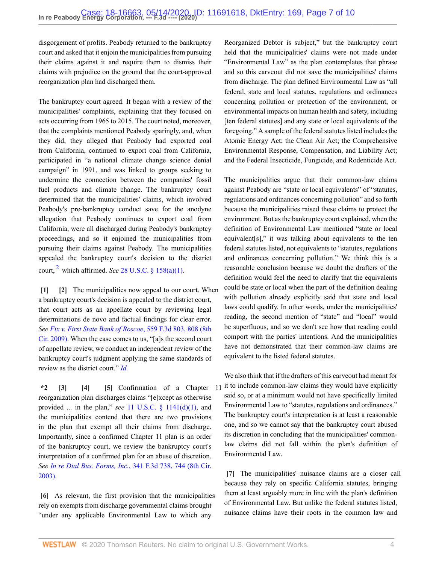disgorgement of profits. Peabody returned to the bankruptcy court and asked that it enjoin the municipalities from pursuing their claims against it and require them to dismiss their claims with prejudice on the ground that the court-approved reorganization plan had discharged them.

The bankruptcy court agreed. It began with a review of the municipalities' complaints, explaining that they focused on acts occurring from 1965 to 2015. The court noted, moreover, that the complaints mentioned Peabody sparingly, and, when they did, they alleged that Peabody had exported coal from California, continued to export coal from California, participated in "a national climate change science denial campaign" in 1991, and was linked to groups seeking to undermine the connection between the companies' fossil fuel products and climate change. The bankruptcy court determined that the municipalities' claims, which involved Peabody's pre-bankruptcy conduct save for the anodyne allegation that Peabody continues to export coal from California, were all discharged during Peabody's bankruptcy proceedings, and so it enjoined the municipalities from pursuing their claims against Peabody. The municipalities appealed the bankruptcy court's decision to the district court,  $^2$  $^2$  which affirmed. *See* 28 U.S.C.  $\S$  158(a)(1).

<span id="page-6-7"></span><span id="page-6-1"></span><span id="page-6-0"></span>**[\[1\]](#page-3-0) [\[2](#page-3-1)]** The municipalities now appeal to our court. When a bankruptcy court's decision is appealed to the district court, that court acts as an appellate court by reviewing legal determinations de novo and factual findings for clear error. *See [Fix v. First State Bank of Roscoe](http://www.westlaw.com/Link/Document/FullText?findType=Y&serNum=2018371921&pubNum=0000506&originatingDoc=I3728c6108fd011eab2c3c7d85ec85a54&refType=RP&fi=co_pp_sp_506_808&originationContext=document&vr=3.0&rs=cblt1.0&transitionType=DocumentItem&contextData=(sc.Keycite)#co_pp_sp_506_808)*, 559 F.3d 803, 808 (8th [Cir. 2009\)](http://www.westlaw.com/Link/Document/FullText?findType=Y&serNum=2018371921&pubNum=0000506&originatingDoc=I3728c6108fd011eab2c3c7d85ec85a54&refType=RP&fi=co_pp_sp_506_808&originationContext=document&vr=3.0&rs=cblt1.0&transitionType=DocumentItem&contextData=(sc.Keycite)#co_pp_sp_506_808). When the case comes to us, "[a]s the second court of appellate review, we conduct an independent review of the bankruptcy court's judgment applying the same standards of review as the district court." *[Id.](http://www.westlaw.com/Link/Document/FullText?findType=Y&serNum=2018371921&pubNum=0000506&originatingDoc=I3728c6108fd011eab2c3c7d85ec85a54&refType=RP&originationContext=document&vr=3.0&rs=cblt1.0&transitionType=DocumentItem&contextData=(sc.Keycite))*

<span id="page-6-4"></span><span id="page-6-3"></span><span id="page-6-2"></span>**\*2 [\[3\]](#page-3-2) [\[4\]](#page-4-4) [\[5](#page-4-5)]** Confirmation of a Chapter 11 reorganization plan discharges claims "[e]xcept as otherwise provided ... in the plan," *see* [11 U.S.C. § 1141\(d\)\(1\),](http://www.westlaw.com/Link/Document/FullText?findType=L&pubNum=1000546&cite=11USCAS1141&originatingDoc=I3728c6108fd011eab2c3c7d85ec85a54&refType=RB&originationContext=document&vr=3.0&rs=cblt1.0&transitionType=DocumentItem&contextData=(sc.Keycite)#co_pp_e07e0000a9f57) and the municipalities contend that there are two provisions in the plan that exempt all their claims from discharge. Importantly, since a confirmed Chapter 11 plan is an order of the bankruptcy court, we review the bankruptcy court's interpretation of a confirmed plan for an abuse of discretion. *See In re Dial Bus. Forms, Inc.*[, 341 F.3d 738, 744 \(8th Cir.](http://www.westlaw.com/Link/Document/FullText?findType=Y&serNum=2003603616&pubNum=0000506&originatingDoc=I3728c6108fd011eab2c3c7d85ec85a54&refType=RP&fi=co_pp_sp_506_744&originationContext=document&vr=3.0&rs=cblt1.0&transitionType=DocumentItem&contextData=(sc.Keycite)#co_pp_sp_506_744) [2003\)](http://www.westlaw.com/Link/Document/FullText?findType=Y&serNum=2003603616&pubNum=0000506&originatingDoc=I3728c6108fd011eab2c3c7d85ec85a54&refType=RP&fi=co_pp_sp_506_744&originationContext=document&vr=3.0&rs=cblt1.0&transitionType=DocumentItem&contextData=(sc.Keycite)#co_pp_sp_506_744).

<span id="page-6-5"></span>**[\[6\]](#page-4-0)** As relevant, the first provision that the municipalities rely on exempts from discharge governmental claims brought "under any applicable Environmental Law to which any

Reorganized Debtor is subject," but the bankruptcy court held that the municipalities' claims were not made under "Environmental Law" as the plan contemplates that phrase and so this carveout did not save the municipalities' claims from discharge. The plan defined Environmental Law as "all federal, state and local statutes, regulations and ordinances concerning pollution or protection of the environment, or environmental impacts on human health and safety, including [ten federal statutes] and any state or local equivalents of the foregoing." A sample of the federal statutes listed includes the Atomic Energy Act; the Clean Air Act; the Comprehensive Environmental Response, Compensation, and Liability Act; and the Federal Insecticide, Fungicide, and Rodenticide Act.

The municipalities argue that their common-law claims against Peabody are "state or local equivalents" of "statutes, regulations and ordinances concerning pollution" and so forth because the municipalities raised these claims to protect the environment. But as the bankruptcy court explained, when the definition of Environmental Law mentioned "state or local equivalent[s]," it was talking about equivalents to the ten federal statutes listed, not equivalents to "statutes, regulations and ordinances concerning pollution." We think this is a reasonable conclusion because we doubt the drafters of the definition would feel the need to clarify that the equivalents could be state or local when the part of the definition dealing with pollution already explicitly said that state and local laws could qualify. In other words, under the municipalities' reading, the second mention of "state" and "local" would be superfluous, and so we don't see how that reading could comport with the parties' intentions. And the municipalities have not demonstrated that their common-law claims are equivalent to the listed federal statutes.

We also think that if the drafters of this carveout had meant for it to include common-law claims they would have explicitly said so, or at a minimum would not have specifically limited Environmental Law to "statutes, regulations and ordinances." The bankruptcy court's interpretation is at least a reasonable one, and so we cannot say that the bankruptcy court abused its discretion in concluding that the municipalities' commonlaw claims did not fall within the plan's definition of Environmental Law.

<span id="page-6-6"></span>**[\[7\]](#page-4-1)** The municipalities' nuisance claims are a closer call because they rely on specific California statutes, bringing them at least arguably more in line with the plan's definition of Environmental Law. But unlike the federal statutes listed, nuisance claims have their roots in the common law and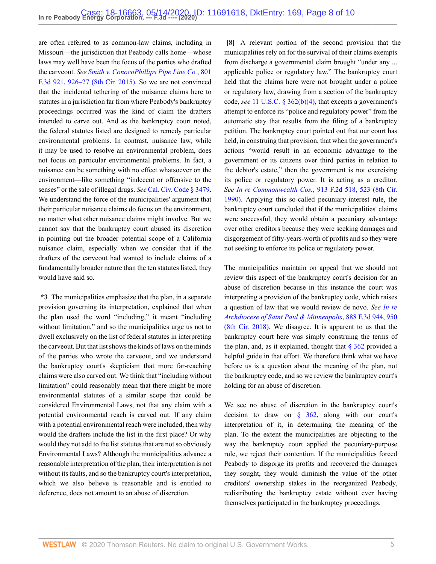are often referred to as common-law claims, including in Missouri—the jurisdiction that Peabody calls home—whose laws may well have been the focus of the parties who drafted the carveout. *See [Smith v. ConocoPhillips Pipe Line Co.](http://www.westlaw.com/Link/Document/FullText?findType=Y&serNum=2037168341&pubNum=0000506&originatingDoc=I3728c6108fd011eab2c3c7d85ec85a54&refType=RP&fi=co_pp_sp_506_926&originationContext=document&vr=3.0&rs=cblt1.0&transitionType=DocumentItem&contextData=(sc.Keycite)#co_pp_sp_506_926)*, 801 [F.3d 921, 926–27 \(8th Cir. 2015\).](http://www.westlaw.com/Link/Document/FullText?findType=Y&serNum=2037168341&pubNum=0000506&originatingDoc=I3728c6108fd011eab2c3c7d85ec85a54&refType=RP&fi=co_pp_sp_506_926&originationContext=document&vr=3.0&rs=cblt1.0&transitionType=DocumentItem&contextData=(sc.Keycite)#co_pp_sp_506_926) So we are not convinced that the incidental tethering of the nuisance claims here to statutes in a jurisdiction far from where Peabody's bankruptcy proceedings occurred was the kind of claim the drafters intended to carve out. And as the bankruptcy court noted, the federal statutes listed are designed to remedy particular environmental problems. In contrast, nuisance law, while it may be used to resolve an environmental problem, does not focus on particular environmental problems. In fact, a nuisance can be something with no effect whatsoever on the environment—like something "indecent or offensive to the senses" or the sale of illegal drugs. *See* [Cal. Civ. Code § 3479.](http://www.westlaw.com/Link/Document/FullText?findType=L&pubNum=1000200&cite=CACIS3479&originatingDoc=I3728c6108fd011eab2c3c7d85ec85a54&refType=LQ&originationContext=document&vr=3.0&rs=cblt1.0&transitionType=DocumentItem&contextData=(sc.Keycite)) We understand the force of the municipalities' argument that their particular nuisance claims do focus on the environment, no matter what other nuisance claims might involve. But we cannot say that the bankruptcy court abused its discretion in pointing out the broader potential scope of a California nuisance claim, especially when we consider that if the drafters of the carveout had wanted to include claims of a fundamentally broader nature than the ten statutes listed, they would have said so.

**\*3** The municipalities emphasize that the plan, in a separate provision governing its interpretation, explained that when the plan used the word "including," it meant "including without limitation," and so the municipalities urge us not to dwell exclusively on the list of federal statutes in interpreting the carveout. But that list shows the kinds of laws on the minds of the parties who wrote the carveout, and we understand the bankruptcy court's skepticism that more far-reaching claims were also carved out. We think that "including without limitation" could reasonably mean that there might be more environmental statutes of a similar scope that could be considered Environmental Laws, not that any claim with a potential environmental reach is carved out. If any claim with a potential environmental reach were included, then why would the drafters include the list in the first place? Or why would they not add to the list statutes that are not so obviously Environmental Laws? Although the municipalities advance a reasonable interpretation of the plan, their interpretation is not without its faults, and so the bankruptcy court's interpretation, which we also believe is reasonable and is entitled to deference, does not amount to an abuse of discretion.

<span id="page-7-0"></span>**[\[8\]](#page-4-2)** A relevant portion of the second provision that the municipalities rely on for the survival of their claims exempts from discharge a governmental claim brought "under any ... applicable police or regulatory law." The bankruptcy court held that the claims here were not brought under a police or regulatory law, drawing from a section of the bankruptcy code, *see* [11 U.S.C. § 362\(b\)\(4\)](http://www.westlaw.com/Link/Document/FullText?findType=L&pubNum=1000546&cite=11USCAS362&originatingDoc=I3728c6108fd011eab2c3c7d85ec85a54&refType=RB&originationContext=document&vr=3.0&rs=cblt1.0&transitionType=DocumentItem&contextData=(sc.Keycite)#co_pp_6ad60000aeea7), that excepts a government's attempt to enforce its "police and regulatory power" from the automatic stay that results from the filing of a bankruptcy petition. The bankruptcy court pointed out that our court has held, in construing that provision, that when the government's actions "would result in an economic advantage to the government or its citizens over third parties in relation to the debtor's estate," then the government is not exercising its police or regulatory power. It is acting as a creditor. *See In re Commonwealth Cos.*[, 913 F.2d 518, 523 \(8th Cir.](http://www.westlaw.com/Link/Document/FullText?findType=Y&serNum=1990129832&pubNum=0000350&originatingDoc=I3728c6108fd011eab2c3c7d85ec85a54&refType=RP&fi=co_pp_sp_350_523&originationContext=document&vr=3.0&rs=cblt1.0&transitionType=DocumentItem&contextData=(sc.Keycite)#co_pp_sp_350_523) [1990\)](http://www.westlaw.com/Link/Document/FullText?findType=Y&serNum=1990129832&pubNum=0000350&originatingDoc=I3728c6108fd011eab2c3c7d85ec85a54&refType=RP&fi=co_pp_sp_350_523&originationContext=document&vr=3.0&rs=cblt1.0&transitionType=DocumentItem&contextData=(sc.Keycite)#co_pp_sp_350_523). Applying this so-called pecuniary-interest rule, the bankruptcy court concluded that if the municipalities' claims were successful, they would obtain a pecuniary advantage over other creditors because they were seeking damages and disgorgement of fifty-years-worth of profits and so they were not seeking to enforce its police or regulatory power.

The municipalities maintain on appeal that we should not review this aspect of the bankruptcy court's decision for an abuse of discretion because in this instance the court was interpreting a provision of the bankruptcy code, which raises a question of law that we would review de novo. *See [In re](http://www.westlaw.com/Link/Document/FullText?findType=Y&serNum=2044404147&pubNum=0000506&originatingDoc=I3728c6108fd011eab2c3c7d85ec85a54&refType=RP&fi=co_pp_sp_506_950&originationContext=document&vr=3.0&rs=cblt1.0&transitionType=DocumentItem&contextData=(sc.Keycite)#co_pp_sp_506_950) [Archdiocese of Saint Paul & Minneapolis](http://www.westlaw.com/Link/Document/FullText?findType=Y&serNum=2044404147&pubNum=0000506&originatingDoc=I3728c6108fd011eab2c3c7d85ec85a54&refType=RP&fi=co_pp_sp_506_950&originationContext=document&vr=3.0&rs=cblt1.0&transitionType=DocumentItem&contextData=(sc.Keycite)#co_pp_sp_506_950)*, 888 F.3d 944, 950 [\(8th Cir. 2018\).](http://www.westlaw.com/Link/Document/FullText?findType=Y&serNum=2044404147&pubNum=0000506&originatingDoc=I3728c6108fd011eab2c3c7d85ec85a54&refType=RP&fi=co_pp_sp_506_950&originationContext=document&vr=3.0&rs=cblt1.0&transitionType=DocumentItem&contextData=(sc.Keycite)#co_pp_sp_506_950) We disagree. It is apparent to us that the bankruptcy court here was simply construing the terms of the plan, and, as it explained, thought that  $\S 362$  provided a helpful guide in that effort. We therefore think what we have before us is a question about the meaning of the plan, not the bankruptcy code, and so we review the bankruptcy court's holding for an abuse of discretion.

We see no abuse of discretion in the bankruptcy court's decision to draw on [§ 362,](http://www.westlaw.com/Link/Document/FullText?findType=L&pubNum=1000546&cite=11USCAS362&originatingDoc=I3728c6108fd011eab2c3c7d85ec85a54&refType=LQ&originationContext=document&vr=3.0&rs=cblt1.0&transitionType=DocumentItem&contextData=(sc.Keycite)) along with our court's interpretation of it, in determining the meaning of the plan. To the extent the municipalities are objecting to the way the bankruptcy court applied the pecuniary-purpose rule, we reject their contention. If the municipalities forced Peabody to disgorge its profits and recovered the damages they sought, they would diminish the value of the other creditors' ownership stakes in the reorganized Peabody, redistributing the bankruptcy estate without ever having themselves participated in the bankruptcy proceedings.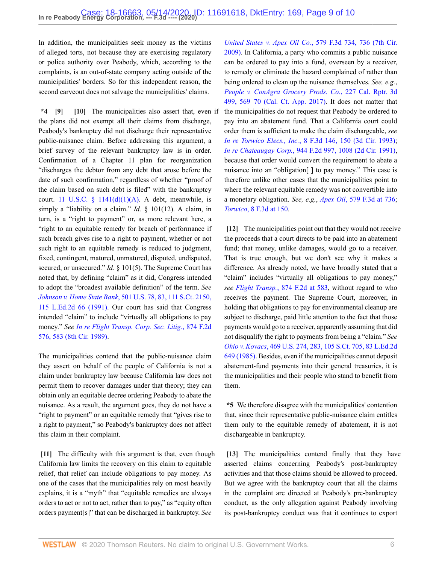In addition, the municipalities seek money as the victims of alleged torts, not because they are exercising regulatory or police authority over Peabody, which, according to the complaints, is an out-of-state company acting outside of the municipalities' borders. So for this independent reason, the second carveout does not salvage the municipalities' claims.

<span id="page-8-1"></span><span id="page-8-0"></span>**\*4 [\[9\]](#page-4-3) [\[10\]](#page-5-0)** The municipalities also assert that, even if the municipalities do not request that Peabody be ordered to the plans did not exempt all their claims from discharge, Peabody's bankruptcy did not discharge their representative public-nuisance claim. Before addressing this argument, a brief survey of the relevant bankruptcy law is in order. Confirmation of a Chapter 11 plan for reorganization "discharges the debtor from any debt that arose before the date of such confirmation," regardless of whether "proof of the claim based on such debt is filed" with the bankruptcy court. 11 U.S.C. §  $1141(d)(1)(A)$ . A debt, meanwhile, is simply a "liability on a claim." *Id.* § 101(12). A claim, in turn, is a "right to payment" or, as more relevant here, a "right to an equitable remedy for breach of performance if such breach gives rise to a right to payment, whether or not such right to an equitable remedy is reduced to judgment, fixed, contingent, matured, unmatured, disputed, undisputed, secured, or unsecured." *Id.* § 101(5). The Supreme Court has noted that, by defining "claim" as it did, Congress intended to adopt the "broadest available definition" of the term. *See Johnson v. Home State Bank*[, 501 U.S. 78, 83, 111 S.Ct. 2150,](http://www.westlaw.com/Link/Document/FullText?findType=Y&serNum=1991104240&pubNum=0000780&originatingDoc=I3728c6108fd011eab2c3c7d85ec85a54&refType=RP&fi=co_pp_sp_780_83&originationContext=document&vr=3.0&rs=cblt1.0&transitionType=DocumentItem&contextData=(sc.Keycite)#co_pp_sp_780_83) [115 L.Ed.2d 66 \(1991\).](http://www.westlaw.com/Link/Document/FullText?findType=Y&serNum=1991104240&pubNum=0000780&originatingDoc=I3728c6108fd011eab2c3c7d85ec85a54&refType=RP&fi=co_pp_sp_780_83&originationContext=document&vr=3.0&rs=cblt1.0&transitionType=DocumentItem&contextData=(sc.Keycite)#co_pp_sp_780_83) Our court has said that Congress intended "claim" to include "virtually all obligations to pay money." *See [In re Flight Transp. Corp. Sec. Litig.](http://www.westlaw.com/Link/Document/FullText?findType=Y&serNum=1989071715&pubNum=0000350&originatingDoc=I3728c6108fd011eab2c3c7d85ec85a54&refType=RP&fi=co_pp_sp_350_583&originationContext=document&vr=3.0&rs=cblt1.0&transitionType=DocumentItem&contextData=(sc.Keycite)#co_pp_sp_350_583)*, 874 F.2d [576, 583 \(8th Cir. 1989\).](http://www.westlaw.com/Link/Document/FullText?findType=Y&serNum=1989071715&pubNum=0000350&originatingDoc=I3728c6108fd011eab2c3c7d85ec85a54&refType=RP&fi=co_pp_sp_350_583&originationContext=document&vr=3.0&rs=cblt1.0&transitionType=DocumentItem&contextData=(sc.Keycite)#co_pp_sp_350_583)

The municipalities contend that the public-nuisance claim they assert on behalf of the people of California is not a claim under bankruptcy law because California law does not permit them to recover damages under that theory; they can obtain only an equitable decree ordering Peabody to abate the nuisance. As a result, the argument goes, they do not have a "right to payment" or an equitable remedy that "gives rise to a right to payment," so Peabody's bankruptcy does not affect this claim in their complaint.

<span id="page-8-2"></span>**[\[11\]](#page-5-1)** The difficulty with this argument is that, even though California law limits the recovery on this claim to equitable relief, that relief can include obligations to pay money. As one of the cases that the municipalities rely on most heavily explains, it is a "myth" that "equitable remedies are always orders to act or not to act, rather than to pay," as "equity often orders payment[s]" that can be discharged in bankruptcy. *See*

*[United States v. Apex Oil Co.](http://www.westlaw.com/Link/Document/FullText?findType=Y&serNum=2019669410&pubNum=0000506&originatingDoc=I3728c6108fd011eab2c3c7d85ec85a54&refType=RP&fi=co_pp_sp_506_736&originationContext=document&vr=3.0&rs=cblt1.0&transitionType=DocumentItem&contextData=(sc.Keycite)#co_pp_sp_506_736)*, 579 F.3d 734, 736 (7th Cir. [2009\)](http://www.westlaw.com/Link/Document/FullText?findType=Y&serNum=2019669410&pubNum=0000506&originatingDoc=I3728c6108fd011eab2c3c7d85ec85a54&refType=RP&fi=co_pp_sp_506_736&originationContext=document&vr=3.0&rs=cblt1.0&transitionType=DocumentItem&contextData=(sc.Keycite)#co_pp_sp_506_736). In California, a party who commits a public nuisance can be ordered to pay into a fund, overseen by a receiver, to remedy or eliminate the hazard complained of rather than being ordered to clean up the nuisance themselves. *See, e.g.*, *[People v. ConAgra Grocery Prods. Co.](http://www.westlaw.com/Link/Document/FullText?findType=Y&serNum=2043169781&pubNum=0007047&originatingDoc=I3728c6108fd011eab2c3c7d85ec85a54&refType=RP&fi=co_pp_sp_7047_569&originationContext=document&vr=3.0&rs=cblt1.0&transitionType=DocumentItem&contextData=(sc.Keycite)#co_pp_sp_7047_569)*, 227 Cal. Rptr. 3d [499, 569–70 \(Cal. Ct. App. 2017\).](http://www.westlaw.com/Link/Document/FullText?findType=Y&serNum=2043169781&pubNum=0007047&originatingDoc=I3728c6108fd011eab2c3c7d85ec85a54&refType=RP&fi=co_pp_sp_7047_569&originationContext=document&vr=3.0&rs=cblt1.0&transitionType=DocumentItem&contextData=(sc.Keycite)#co_pp_sp_7047_569) It does not matter that pay into an abatement fund. That a California court could order them is sufficient to make the claim dischargeable, *see In re Torwico Elecs., Inc.*[, 8 F.3d 146, 150 \(3d Cir. 1993\)](http://www.westlaw.com/Link/Document/FullText?findType=Y&serNum=1993203600&pubNum=0000506&originatingDoc=I3728c6108fd011eab2c3c7d85ec85a54&refType=RP&fi=co_pp_sp_506_150&originationContext=document&vr=3.0&rs=cblt1.0&transitionType=DocumentItem&contextData=(sc.Keycite)#co_pp_sp_506_150); *In re Chateaugay Corp.*[, 944 F.2d 997, 1008 \(2d Cir. 1991\),](http://www.westlaw.com/Link/Document/FullText?findType=Y&serNum=1991151887&pubNum=0000350&originatingDoc=I3728c6108fd011eab2c3c7d85ec85a54&refType=RP&fi=co_pp_sp_350_1008&originationContext=document&vr=3.0&rs=cblt1.0&transitionType=DocumentItem&contextData=(sc.Keycite)#co_pp_sp_350_1008) because that order would convert the requirement to abate a nuisance into an "obligation[ ] to pay money." This case is therefore unlike other cases that the municipalities point to where the relevant equitable remedy was not convertible into a monetary obligation. *See, e.g.*, *Apex Oil*[, 579 F.3d at 736](http://www.westlaw.com/Link/Document/FullText?findType=Y&serNum=2019669410&pubNum=0000506&originatingDoc=I3728c6108fd011eab2c3c7d85ec85a54&refType=RP&fi=co_pp_sp_506_736&originationContext=document&vr=3.0&rs=cblt1.0&transitionType=DocumentItem&contextData=(sc.Keycite)#co_pp_sp_506_736); *Torwico*[, 8 F.3d at 150](http://www.westlaw.com/Link/Document/FullText?findType=Y&serNum=1993203600&pubNum=0000506&originatingDoc=I3728c6108fd011eab2c3c7d85ec85a54&refType=RP&fi=co_pp_sp_506_150&originationContext=document&vr=3.0&rs=cblt1.0&transitionType=DocumentItem&contextData=(sc.Keycite)#co_pp_sp_506_150).

<span id="page-8-3"></span>**[\[12\]](#page-5-2)** The municipalities point out that they would not receive the proceeds that a court directs to be paid into an abatement fund; that money, unlike damages, would go to a receiver. That is true enough, but we don't see why it makes a difference. As already noted, we have broadly stated that a "claim" includes "virtually all obligations to pay money," *see Flight Transp.*[, 874 F.2d at 583](http://www.westlaw.com/Link/Document/FullText?findType=Y&serNum=1989071715&pubNum=0000350&originatingDoc=I3728c6108fd011eab2c3c7d85ec85a54&refType=RP&fi=co_pp_sp_350_583&originationContext=document&vr=3.0&rs=cblt1.0&transitionType=DocumentItem&contextData=(sc.Keycite)#co_pp_sp_350_583), without regard to who receives the payment. The Supreme Court, moreover, in holding that obligations to pay for environmental cleanup are subject to discharge, paid little attention to the fact that those payments would go to a receiver, apparently assuming that did not disqualify the right to payments from being a "claim." *See Ohio v. Kovacs*[, 469 U.S. 274, 283, 105 S.Ct. 705, 83 L.Ed.2d](http://www.westlaw.com/Link/Document/FullText?findType=Y&serNum=1985101523&pubNum=0000780&originatingDoc=I3728c6108fd011eab2c3c7d85ec85a54&refType=RP&fi=co_pp_sp_780_283&originationContext=document&vr=3.0&rs=cblt1.0&transitionType=DocumentItem&contextData=(sc.Keycite)#co_pp_sp_780_283) [649 \(1985\).](http://www.westlaw.com/Link/Document/FullText?findType=Y&serNum=1985101523&pubNum=0000780&originatingDoc=I3728c6108fd011eab2c3c7d85ec85a54&refType=RP&fi=co_pp_sp_780_283&originationContext=document&vr=3.0&rs=cblt1.0&transitionType=DocumentItem&contextData=(sc.Keycite)#co_pp_sp_780_283) Besides, even if the municipalities cannot deposit abatement-fund payments into their general treasuries, it is the municipalities and their people who stand to benefit from them.

**\*5** We therefore disagree with the municipalities' contention that, since their representative public-nuisance claim entitles them only to the equitable remedy of abatement, it is not dischargeable in bankruptcy.

<span id="page-8-4"></span>**[\[13\]](#page-5-3)** The municipalities contend finally that they have asserted claims concerning Peabody's post-bankruptcy activities and that those claims should be allowed to proceed. But we agree with the bankruptcy court that all the claims in the complaint are directed at Peabody's pre-bankruptcy conduct, as the only allegation against Peabody involving its post-bankruptcy conduct was that it continues to export